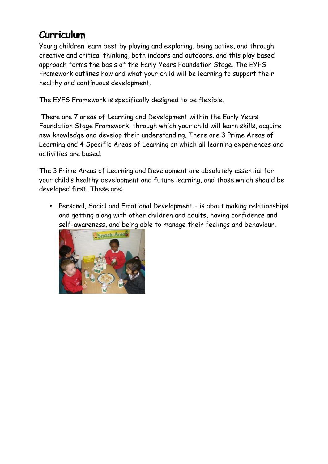## **Curriculum**

Young children learn best by playing and exploring, being active, and through creative and critical thinking, both indoors and outdoors, and this play based approach forms the basis of the Early Years Foundation Stage. The EYFS Framework outlines how and what your child will be learning to support their healthy and continuous development.

The EYFS Framework is specifically designed to be flexible.

There are 7 areas of Learning and Development within the Early Years Foundation Stage Framework, through which your child will learn skills, acquire new knowledge and develop their understanding. There are 3 Prime Areas of Learning and 4 Specific Areas of Learning on which all learning experiences and activities are based.

The 3 Prime Areas of Learning and Development are absolutely essential for your child's healthy development and future learning, and those which should be developed first. These are:

 Personal, Social and Emotional Development – is about making relationships and getting along with other children and adults, having confidence and self-awareness, and being able to manage their feelings and behaviour.

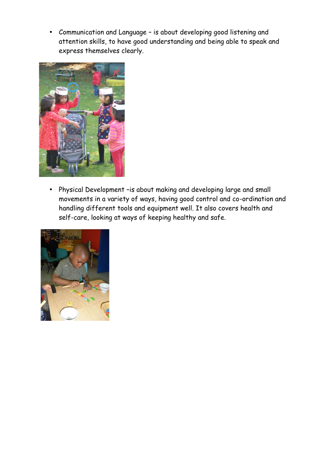• Communication and Language - is about developing good listening and attention skills, to have good understanding and being able to speak and express themselves clearly.



 Physical Development –is about making and developing large and small movements in a variety of ways, having good control and co-ordination and handling different tools and equipment well. It also covers health and self-care, looking at ways of keeping healthy and safe.

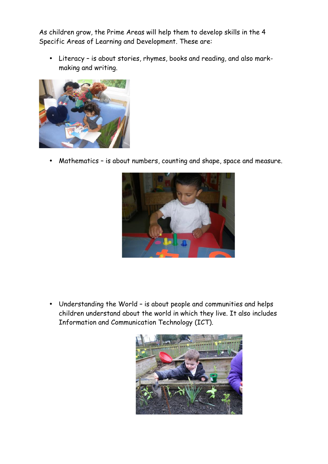As children grow, the Prime Areas will help them to develop skills in the 4 Specific Areas of Learning and Development. These are:

 Literacy – is about stories, rhymes, books and reading, and also mark making and writing.



Mathematics – is about numbers, counting and shape, space and measure.



 Understanding the World – is about people and communities and helps children understand about the world in which they live. It also includes Information and Communication Technology (ICT).